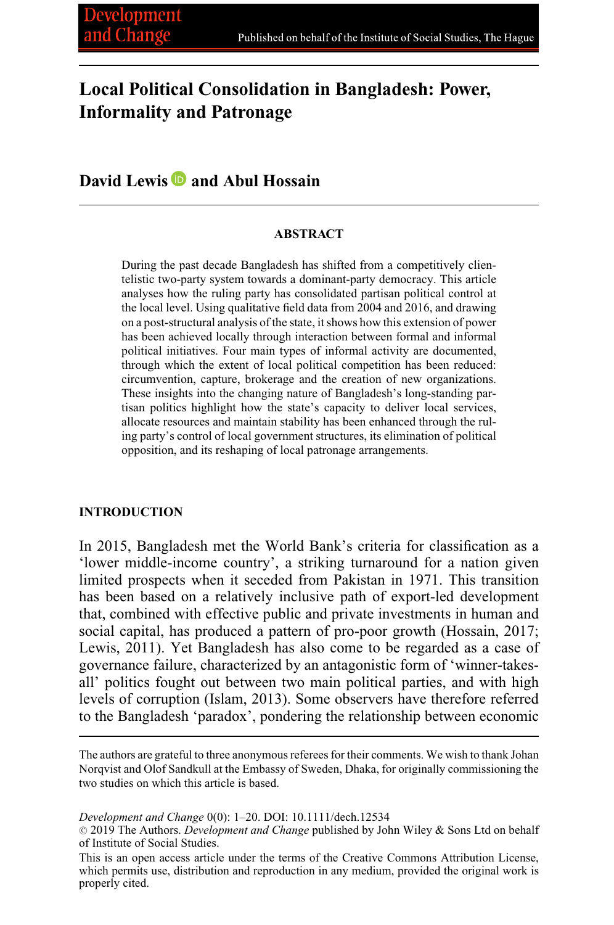# **Local Political Consolidation in Bangladesh: Power, Informality and Patronage**

# **David Lewis and Abul Hossain**

### **ABSTRACT**

During the past decade Bangladesh has shifted from a competitively clientelistic two-party system towards a dominant-party democracy. This article analyses how the ruling party has consolidated partisan political control at the local level. Using qualitative field data from 2004 and 2016, and drawing on a post-structural analysis of the state, it shows how this extension of power has been achieved locally through interaction between formal and informal political initiatives. Four main types of informal activity are documented, through which the extent of local political competition has been reduced: circumvention, capture, brokerage and the creation of new organizations. These insights into the changing nature of Bangladesh's long-standing partisan politics highlight how the state's capacity to deliver local services, allocate resources and maintain stability has been enhanced through the ruling party's control of local government structures, its elimination of political opposition, and its reshaping of local patronage arrangements.

## **INTRODUCTION**

In 2015, Bangladesh met the World Bank's criteria for classification as a 'lower middle-income country', a striking turnaround for a nation given limited prospects when it seceded from Pakistan in 1971. This transition has been based on a relatively inclusive path of export-led development that, combined with effective public and private investments in human and social capital, has produced a pattern of pro-poor growth (Hossain, 2017; Lewis, 2011). Yet Bangladesh has also come to be regarded as a case of governance failure, characterized by an antagonistic form of 'winner-takesall' politics fought out between two main political parties, and with high levels of corruption (Islam, 2013). Some observers have therefore referred to the Bangladesh 'paradox', pondering the relationship between economic

*Development and Change* 0(0): 1–20. DOI: 10.1111/dech.12534

The authors are grateful to three anonymous referees for their comments. We wish to thank Johan Norqvist and Olof Sandkull at the Embassy of Sweden, Dhaka, for originally commissioning the two studies on which this article is based.

<sup>-</sup><sup>C</sup> 2019 The Authors. *Development and Change* published by John Wiley & Sons Ltd on behalf of Institute of Social Studies.

This is an open access article under the terms of the Creative Commons Attribution License, which permits use, distribution and reproduction in any medium, provided the original work is properly cited.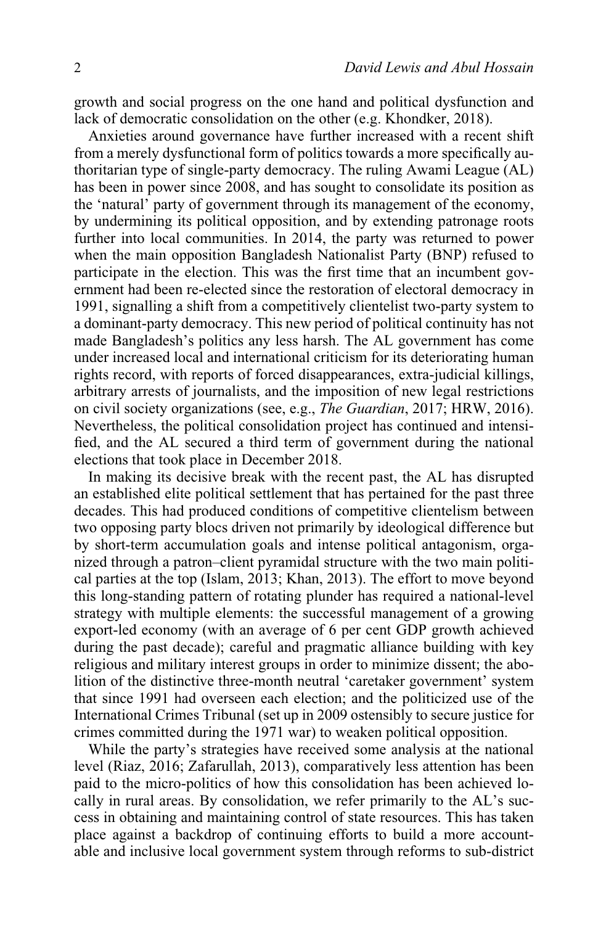growth and social progress on the one hand and political dysfunction and lack of democratic consolidation on the other (e.g. Khondker, 2018).

Anxieties around governance have further increased with a recent shift from a merely dysfunctional form of politics towards a more specifically authoritarian type of single-party democracy. The ruling Awami League (AL) has been in power since 2008, and has sought to consolidate its position as the 'natural' party of government through its management of the economy, by undermining its political opposition, and by extending patronage roots further into local communities. In 2014, the party was returned to power when the main opposition Bangladesh Nationalist Party (BNP) refused to participate in the election. This was the first time that an incumbent government had been re-elected since the restoration of electoral democracy in 1991, signalling a shift from a competitively clientelist two-party system to a dominant-party democracy. This new period of political continuity has not made Bangladesh's politics any less harsh. The AL government has come under increased local and international criticism for its deteriorating human rights record, with reports of forced disappearances, extra-judicial killings, arbitrary arrests of journalists, and the imposition of new legal restrictions on civil society organizations (see, e.g., *The Guardian*, 2017; HRW, 2016). Nevertheless, the political consolidation project has continued and intensified, and the AL secured a third term of government during the national elections that took place in December 2018.

In making its decisive break with the recent past, the AL has disrupted an established elite political settlement that has pertained for the past three decades. This had produced conditions of competitive clientelism between two opposing party blocs driven not primarily by ideological difference but by short-term accumulation goals and intense political antagonism, organized through a patron–client pyramidal structure with the two main political parties at the top (Islam, 2013; Khan, 2013). The effort to move beyond this long-standing pattern of rotating plunder has required a national-level strategy with multiple elements: the successful management of a growing export-led economy (with an average of 6 per cent GDP growth achieved during the past decade); careful and pragmatic alliance building with key religious and military interest groups in order to minimize dissent; the abolition of the distinctive three-month neutral 'caretaker government' system that since 1991 had overseen each election; and the politicized use of the International Crimes Tribunal (set up in 2009 ostensibly to secure justice for crimes committed during the 1971 war) to weaken political opposition.

While the party's strategies have received some analysis at the national level (Riaz, 2016; Zafarullah, 2013), comparatively less attention has been paid to the micro-politics of how this consolidation has been achieved locally in rural areas. By consolidation, we refer primarily to the AL's success in obtaining and maintaining control of state resources. This has taken place against a backdrop of continuing efforts to build a more accountable and inclusive local government system through reforms to sub-district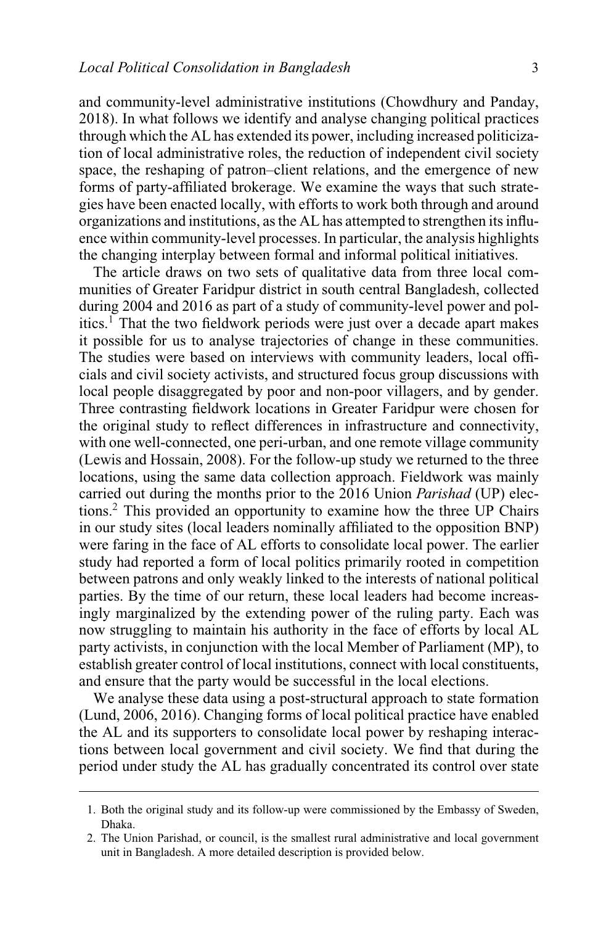and community-level administrative institutions (Chowdhury and Panday, 2018). In what follows we identify and analyse changing political practices through which the AL has extended its power, including increased politicization of local administrative roles, the reduction of independent civil society space, the reshaping of patron–client relations, and the emergence of new forms of party-affiliated brokerage. We examine the ways that such strategies have been enacted locally, with efforts to work both through and around organizations and institutions, as the AL has attempted to strengthen its influence within community-level processes. In particular, the analysis highlights the changing interplay between formal and informal political initiatives.

The article draws on two sets of qualitative data from three local communities of Greater Faridpur district in south central Bangladesh, collected during 2004 and 2016 as part of a study of community-level power and politics.<sup>1</sup> That the two fieldwork periods were just over a decade apart makes it possible for us to analyse trajectories of change in these communities. The studies were based on interviews with community leaders, local officials and civil society activists, and structured focus group discussions with local people disaggregated by poor and non-poor villagers, and by gender. Three contrasting fieldwork locations in Greater Faridpur were chosen for the original study to reflect differences in infrastructure and connectivity, with one well-connected, one peri-urban, and one remote village community (Lewis and Hossain, 2008). For the follow-up study we returned to the three locations, using the same data collection approach. Fieldwork was mainly carried out during the months prior to the 2016 Union *Parishad* (UP) elections.2 This provided an opportunity to examine how the three UP Chairs in our study sites (local leaders nominally affiliated to the opposition BNP) were faring in the face of AL efforts to consolidate local power. The earlier study had reported a form of local politics primarily rooted in competition between patrons and only weakly linked to the interests of national political parties. By the time of our return, these local leaders had become increasingly marginalized by the extending power of the ruling party. Each was now struggling to maintain his authority in the face of efforts by local AL party activists, in conjunction with the local Member of Parliament (MP), to establish greater control of local institutions, connect with local constituents, and ensure that the party would be successful in the local elections.

We analyse these data using a post-structural approach to state formation (Lund, 2006, 2016). Changing forms of local political practice have enabled the AL and its supporters to consolidate local power by reshaping interactions between local government and civil society. We find that during the period under study the AL has gradually concentrated its control over state

<sup>1.</sup> Both the original study and its follow-up were commissioned by the Embassy of Sweden, Dhaka.

<sup>2.</sup> The Union Parishad, or council, is the smallest rural administrative and local government unit in Bangladesh. A more detailed description is provided below.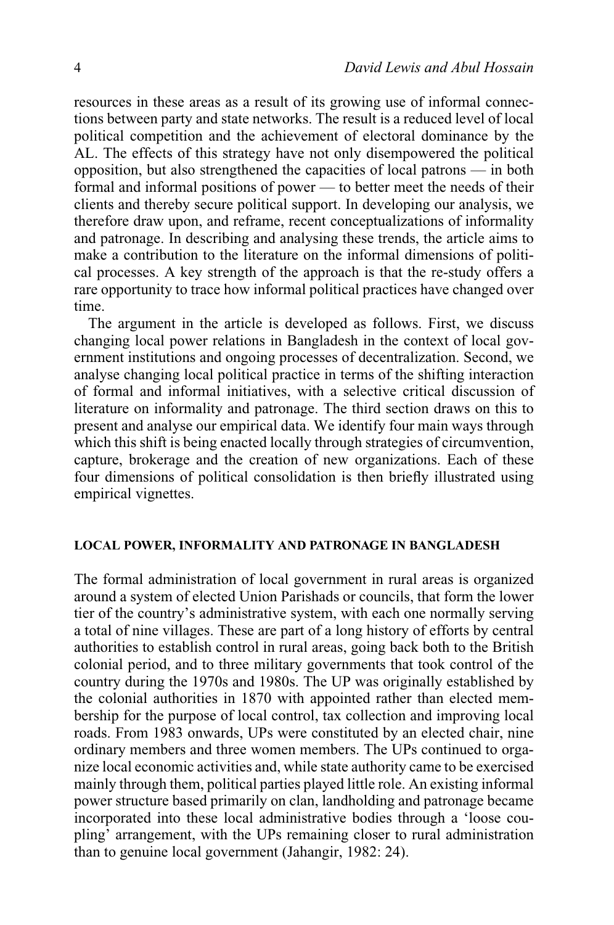resources in these areas as a result of its growing use of informal connections between party and state networks. The result is a reduced level of local political competition and the achievement of electoral dominance by the AL. The effects of this strategy have not only disempowered the political opposition, but also strengthened the capacities of local patrons — in both formal and informal positions of power — to better meet the needs of their clients and thereby secure political support. In developing our analysis, we therefore draw upon, and reframe, recent conceptualizations of informality and patronage. In describing and analysing these trends, the article aims to make a contribution to the literature on the informal dimensions of political processes. A key strength of the approach is that the re-study offers a rare opportunity to trace how informal political practices have changed over time.

The argument in the article is developed as follows. First, we discuss changing local power relations in Bangladesh in the context of local government institutions and ongoing processes of decentralization. Second, we analyse changing local political practice in terms of the shifting interaction of formal and informal initiatives, with a selective critical discussion of literature on informality and patronage. The third section draws on this to present and analyse our empirical data. We identify four main ways through which this shift is being enacted locally through strategies of circumvention, capture, brokerage and the creation of new organizations. Each of these four dimensions of political consolidation is then briefly illustrated using empirical vignettes.

# **LOCAL POWER, INFORMALITY AND PATRONAGE IN BANGLADESH**

The formal administration of local government in rural areas is organized around a system of elected Union Parishads or councils, that form the lower tier of the country's administrative system, with each one normally serving a total of nine villages. These are part of a long history of efforts by central authorities to establish control in rural areas, going back both to the British colonial period, and to three military governments that took control of the country during the 1970s and 1980s. The UP was originally established by the colonial authorities in 1870 with appointed rather than elected membership for the purpose of local control, tax collection and improving local roads. From 1983 onwards, UPs were constituted by an elected chair, nine ordinary members and three women members. The UPs continued to organize local economic activities and, while state authority came to be exercised mainly through them, political parties played little role. An existing informal power structure based primarily on clan, landholding and patronage became incorporated into these local administrative bodies through a 'loose coupling' arrangement, with the UPs remaining closer to rural administration than to genuine local government (Jahangir, 1982: 24).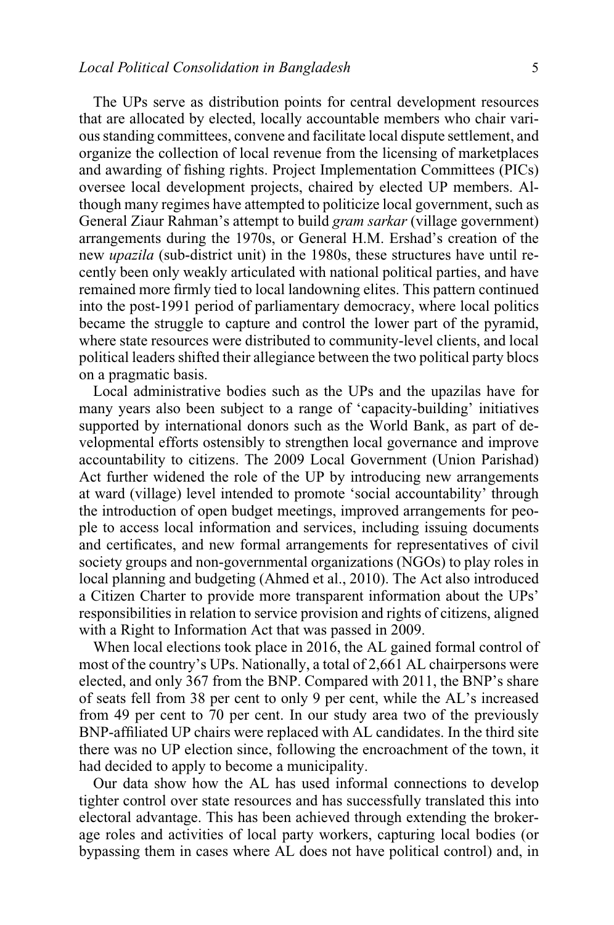The UPs serve as distribution points for central development resources that are allocated by elected, locally accountable members who chair various standing committees, convene and facilitate local dispute settlement, and organize the collection of local revenue from the licensing of marketplaces and awarding of fishing rights. Project Implementation Committees (PICs) oversee local development projects, chaired by elected UP members. Although many regimes have attempted to politicize local government, such as General Ziaur Rahman's attempt to build *gram sarkar* (village government) arrangements during the 1970s, or General H.M. Ershad's creation of the new *upazila* (sub-district unit) in the 1980s, these structures have until recently been only weakly articulated with national political parties, and have remained more firmly tied to local landowning elites. This pattern continued into the post-1991 period of parliamentary democracy, where local politics became the struggle to capture and control the lower part of the pyramid, where state resources were distributed to community-level clients, and local political leaders shifted their allegiance between the two political party blocs on a pragmatic basis.

Local administrative bodies such as the UPs and the upazilas have for many years also been subject to a range of 'capacity-building' initiatives supported by international donors such as the World Bank, as part of developmental efforts ostensibly to strengthen local governance and improve accountability to citizens. The 2009 Local Government (Union Parishad) Act further widened the role of the UP by introducing new arrangements at ward (village) level intended to promote 'social accountability' through the introduction of open budget meetings, improved arrangements for people to access local information and services, including issuing documents and certificates, and new formal arrangements for representatives of civil society groups and non-governmental organizations (NGOs) to play roles in local planning and budgeting (Ahmed et al., 2010). The Act also introduced a Citizen Charter to provide more transparent information about the UPs' responsibilities in relation to service provision and rights of citizens, aligned with a Right to Information Act that was passed in 2009.

When local elections took place in 2016, the AL gained formal control of most of the country's UPs. Nationally, a total of 2,661 AL chairpersons were elected, and only 367 from the BNP. Compared with 2011, the BNP's share of seats fell from 38 per cent to only 9 per cent, while the AL's increased from 49 per cent to 70 per cent. In our study area two of the previously BNP-affiliated UP chairs were replaced with AL candidates. In the third site there was no UP election since, following the encroachment of the town, it had decided to apply to become a municipality.

Our data show how the AL has used informal connections to develop tighter control over state resources and has successfully translated this into electoral advantage. This has been achieved through extending the brokerage roles and activities of local party workers, capturing local bodies (or bypassing them in cases where AL does not have political control) and, in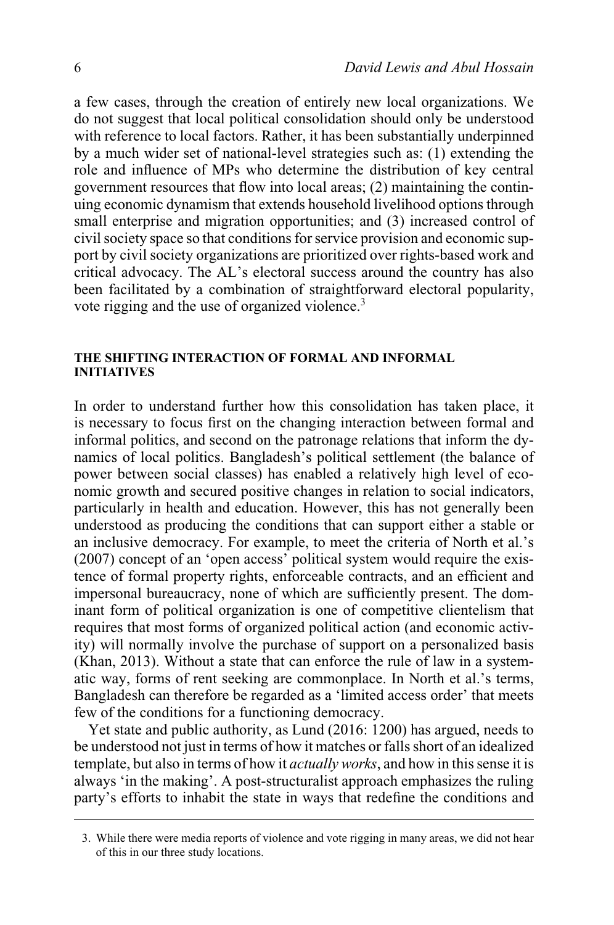a few cases, through the creation of entirely new local organizations. We do not suggest that local political consolidation should only be understood with reference to local factors. Rather, it has been substantially underpinned by a much wider set of national-level strategies such as: (1) extending the role and influence of MPs who determine the distribution of key central government resources that flow into local areas; (2) maintaining the continuing economic dynamism that extends household livelihood options through small enterprise and migration opportunities; and (3) increased control of civil society space so that conditions for service provision and economic support by civil society organizations are prioritized over rights-based work and critical advocacy. The AL's electoral success around the country has also been facilitated by a combination of straightforward electoral popularity, vote rigging and the use of organized violence.<sup>3</sup>

# **THE SHIFTING INTERACTION OF FORMAL AND INFORMAL INITIATIVES**

In order to understand further how this consolidation has taken place, it is necessary to focus first on the changing interaction between formal and informal politics, and second on the patronage relations that inform the dynamics of local politics. Bangladesh's political settlement (the balance of power between social classes) has enabled a relatively high level of economic growth and secured positive changes in relation to social indicators, particularly in health and education. However, this has not generally been understood as producing the conditions that can support either a stable or an inclusive democracy. For example, to meet the criteria of North et al.'s (2007) concept of an 'open access' political system would require the existence of formal property rights, enforceable contracts, and an efficient and impersonal bureaucracy, none of which are sufficiently present. The dominant form of political organization is one of competitive clientelism that requires that most forms of organized political action (and economic activity) will normally involve the purchase of support on a personalized basis (Khan, 2013). Without a state that can enforce the rule of law in a systematic way, forms of rent seeking are commonplace. In North et al.'s terms, Bangladesh can therefore be regarded as a 'limited access order' that meets few of the conditions for a functioning democracy.

Yet state and public authority, as Lund (2016: 1200) has argued, needs to be understood not just in terms of how it matches or falls short of an idealized template, but also in terms of how it *actually works*, and how in this sense it is always 'in the making'. A post-structuralist approach emphasizes the ruling party's efforts to inhabit the state in ways that redefine the conditions and

<sup>3.</sup> While there were media reports of violence and vote rigging in many areas, we did not hear of this in our three study locations.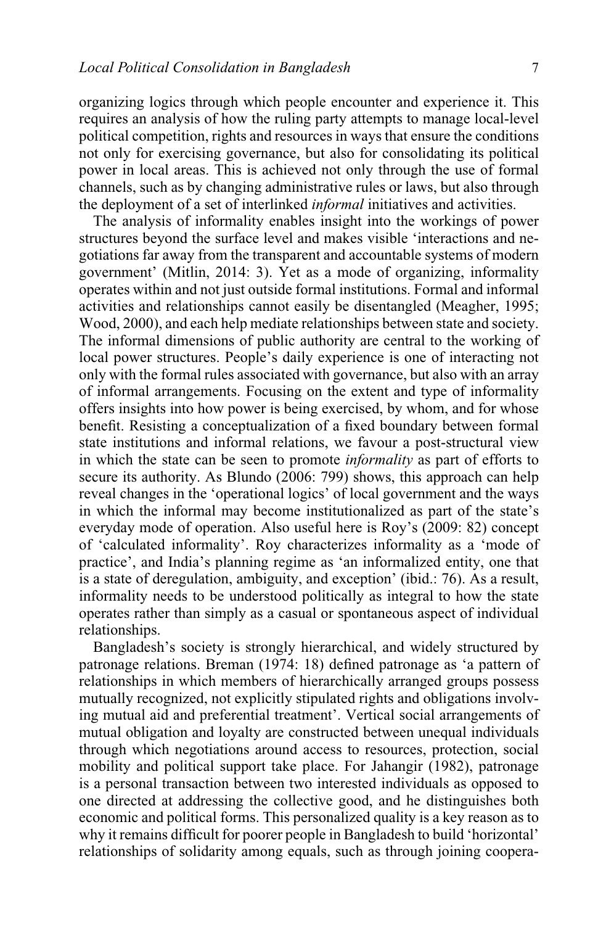organizing logics through which people encounter and experience it. This requires an analysis of how the ruling party attempts to manage local-level political competition, rights and resources in ways that ensure the conditions not only for exercising governance, but also for consolidating its political power in local areas. This is achieved not only through the use of formal channels, such as by changing administrative rules or laws, but also through the deployment of a set of interlinked *informal* initiatives and activities.

The analysis of informality enables insight into the workings of power structures beyond the surface level and makes visible 'interactions and negotiations far away from the transparent and accountable systems of modern government' (Mitlin, 2014: 3). Yet as a mode of organizing, informality operates within and not just outside formal institutions. Formal and informal activities and relationships cannot easily be disentangled (Meagher, 1995; Wood, 2000), and each help mediate relationships between state and society. The informal dimensions of public authority are central to the working of local power structures. People's daily experience is one of interacting not only with the formal rules associated with governance, but also with an array of informal arrangements. Focusing on the extent and type of informality offers insights into how power is being exercised, by whom, and for whose benefit. Resisting a conceptualization of a fixed boundary between formal state institutions and informal relations, we favour a post-structural view in which the state can be seen to promote *informality* as part of efforts to secure its authority. As Blundo (2006: 799) shows, this approach can help reveal changes in the 'operational logics' of local government and the ways in which the informal may become institutionalized as part of the state's everyday mode of operation. Also useful here is Roy's (2009: 82) concept of 'calculated informality'. Roy characterizes informality as a 'mode of practice', and India's planning regime as 'an informalized entity, one that is a state of deregulation, ambiguity, and exception' (ibid.: 76). As a result, informality needs to be understood politically as integral to how the state operates rather than simply as a casual or spontaneous aspect of individual relationships.

Bangladesh's society is strongly hierarchical, and widely structured by patronage relations. Breman (1974: 18) defined patronage as 'a pattern of relationships in which members of hierarchically arranged groups possess mutually recognized, not explicitly stipulated rights and obligations involving mutual aid and preferential treatment'. Vertical social arrangements of mutual obligation and loyalty are constructed between unequal individuals through which negotiations around access to resources, protection, social mobility and political support take place. For Jahangir (1982), patronage is a personal transaction between two interested individuals as opposed to one directed at addressing the collective good, and he distinguishes both economic and political forms. This personalized quality is a key reason as to why it remains difficult for poorer people in Bangladesh to build 'horizontal' relationships of solidarity among equals, such as through joining coopera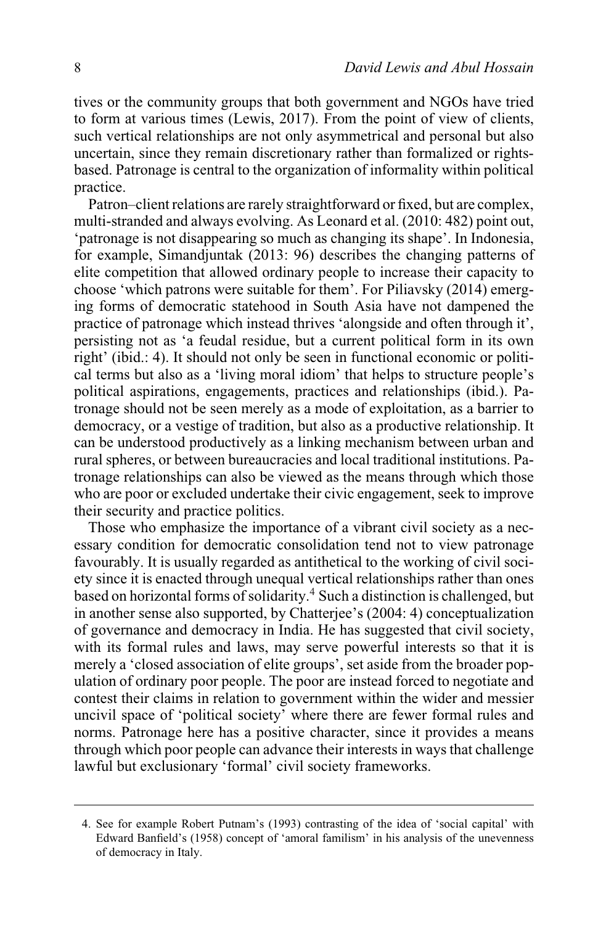tives or the community groups that both government and NGOs have tried to form at various times (Lewis, 2017). From the point of view of clients, such vertical relationships are not only asymmetrical and personal but also uncertain, since they remain discretionary rather than formalized or rightsbased. Patronage is central to the organization of informality within political practice.

Patron–client relations are rarely straightforward or fixed, but are complex, multi-stranded and always evolving. As Leonard et al. (2010: 482) point out, 'patronage is not disappearing so much as changing its shape'. In Indonesia, for example, Simandjuntak (2013: 96) describes the changing patterns of elite competition that allowed ordinary people to increase their capacity to choose 'which patrons were suitable for them'. For Piliavsky (2014) emerging forms of democratic statehood in South Asia have not dampened the practice of patronage which instead thrives 'alongside and often through it', persisting not as 'a feudal residue, but a current political form in its own right' (ibid.: 4). It should not only be seen in functional economic or political terms but also as a 'living moral idiom' that helps to structure people's political aspirations, engagements, practices and relationships (ibid.). Patronage should not be seen merely as a mode of exploitation, as a barrier to democracy, or a vestige of tradition, but also as a productive relationship. It can be understood productively as a linking mechanism between urban and rural spheres, or between bureaucracies and local traditional institutions. Patronage relationships can also be viewed as the means through which those who are poor or excluded undertake their civic engagement, seek to improve their security and practice politics.

Those who emphasize the importance of a vibrant civil society as a necessary condition for democratic consolidation tend not to view patronage favourably. It is usually regarded as antithetical to the working of civil society since it is enacted through unequal vertical relationships rather than ones based on horizontal forms of solidarity.4 Such a distinction is challenged, but in another sense also supported, by Chatterjee's (2004: 4) conceptualization of governance and democracy in India. He has suggested that civil society, with its formal rules and laws, may serve powerful interests so that it is merely a 'closed association of elite groups', set aside from the broader population of ordinary poor people. The poor are instead forced to negotiate and contest their claims in relation to government within the wider and messier uncivil space of 'political society' where there are fewer formal rules and norms. Patronage here has a positive character, since it provides a means through which poor people can advance their interests in ways that challenge lawful but exclusionary 'formal' civil society frameworks.

<sup>4.</sup> See for example Robert Putnam's (1993) contrasting of the idea of 'social capital' with Edward Banfield's (1958) concept of 'amoral familism' in his analysis of the unevenness of democracy in Italy.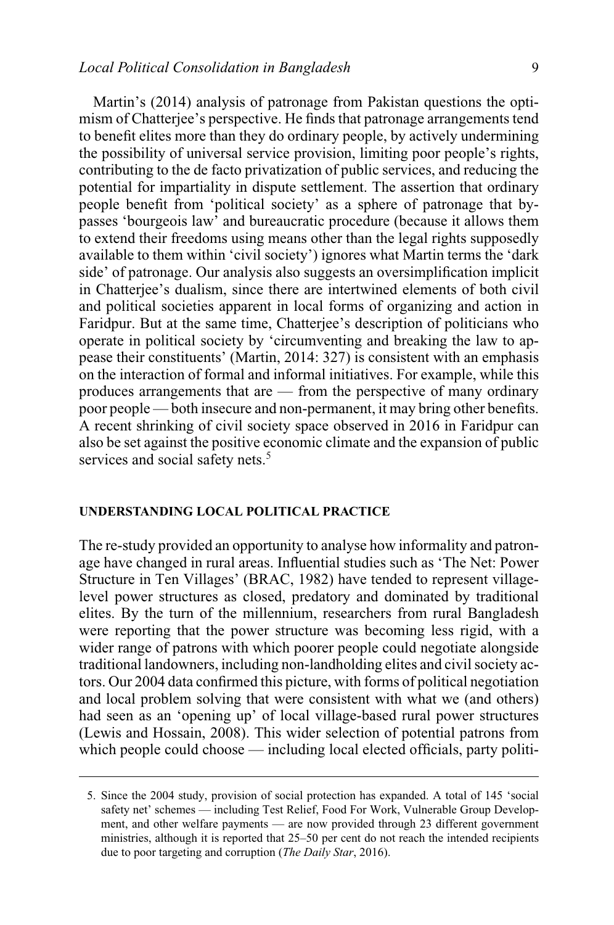Martin's (2014) analysis of patronage from Pakistan questions the optimism of Chatterjee's perspective. He finds that patronage arrangements tend to benefit elites more than they do ordinary people, by actively undermining the possibility of universal service provision, limiting poor people's rights, contributing to the de facto privatization of public services, and reducing the potential for impartiality in dispute settlement. The assertion that ordinary people benefit from 'political society' as a sphere of patronage that bypasses 'bourgeois law' and bureaucratic procedure (because it allows them to extend their freedoms using means other than the legal rights supposedly available to them within 'civil society') ignores what Martin terms the 'dark side' of patronage. Our analysis also suggests an oversimplification implicit in Chatterjee's dualism, since there are intertwined elements of both civil and political societies apparent in local forms of organizing and action in Faridpur. But at the same time, Chatterjee's description of politicians who operate in political society by 'circumventing and breaking the law to appease their constituents' (Martin, 2014: 327) is consistent with an emphasis on the interaction of formal and informal initiatives. For example, while this produces arrangements that are — from the perspective of many ordinary poor people — both insecure and non-permanent, it may bring other benefits. A recent shrinking of civil society space observed in 2016 in Faridpur can also be set against the positive economic climate and the expansion of public services and social safety nets.<sup>5</sup>

#### **UNDERSTANDING LOCAL POLITICAL PRACTICE**

The re-study provided an opportunity to analyse how informality and patronage have changed in rural areas. Influential studies such as 'The Net: Power Structure in Ten Villages' (BRAC, 1982) have tended to represent villagelevel power structures as closed, predatory and dominated by traditional elites. By the turn of the millennium, researchers from rural Bangladesh were reporting that the power structure was becoming less rigid, with a wider range of patrons with which poorer people could negotiate alongside traditional landowners, including non-landholding elites and civil society actors. Our 2004 data confirmed this picture, with forms of political negotiation and local problem solving that were consistent with what we (and others) had seen as an 'opening up' of local village-based rural power structures (Lewis and Hossain, 2008). This wider selection of potential patrons from which people could choose — including local elected officials, party politi-

<sup>5.</sup> Since the 2004 study, provision of social protection has expanded. A total of 145 'social safety net' schemes — including Test Relief, Food For Work, Vulnerable Group Development, and other welfare payments — are now provided through 23 different government ministries, although it is reported that 25–50 per cent do not reach the intended recipients due to poor targeting and corruption (*The Daily Star*, 2016).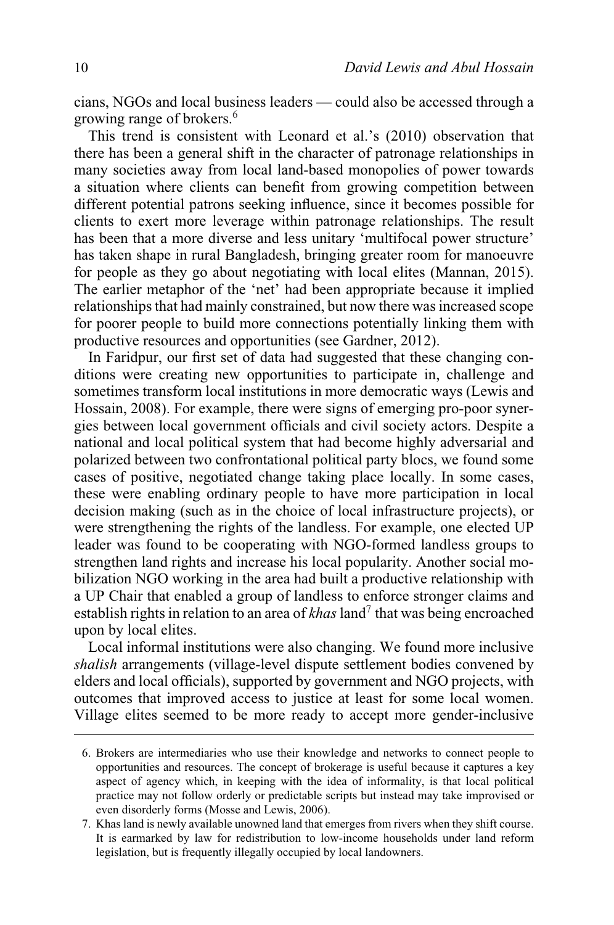cians, NGOs and local business leaders — could also be accessed through a growing range of brokers.<sup>6</sup>

This trend is consistent with Leonard et al.'s (2010) observation that there has been a general shift in the character of patronage relationships in many societies away from local land-based monopolies of power towards a situation where clients can benefit from growing competition between different potential patrons seeking influence, since it becomes possible for clients to exert more leverage within patronage relationships. The result has been that a more diverse and less unitary 'multifocal power structure' has taken shape in rural Bangladesh, bringing greater room for manoeuvre for people as they go about negotiating with local elites (Mannan, 2015). The earlier metaphor of the 'net' had been appropriate because it implied relationships that had mainly constrained, but now there was increased scope for poorer people to build more connections potentially linking them with productive resources and opportunities (see Gardner, 2012).

In Faridpur, our first set of data had suggested that these changing conditions were creating new opportunities to participate in, challenge and sometimes transform local institutions in more democratic ways (Lewis and Hossain, 2008). For example, there were signs of emerging pro-poor synergies between local government officials and civil society actors. Despite a national and local political system that had become highly adversarial and polarized between two confrontational political party blocs, we found some cases of positive, negotiated change taking place locally. In some cases, these were enabling ordinary people to have more participation in local decision making (such as in the choice of local infrastructure projects), or were strengthening the rights of the landless. For example, one elected UP leader was found to be cooperating with NGO-formed landless groups to strengthen land rights and increase his local popularity. Another social mobilization NGO working in the area had built a productive relationship with a UP Chair that enabled a group of landless to enforce stronger claims and establish rights in relation to an area of *khas* land<sup>7</sup> that was being encroached upon by local elites.

Local informal institutions were also changing. We found more inclusive *shalish* arrangements (village-level dispute settlement bodies convened by elders and local officials), supported by government and NGO projects, with outcomes that improved access to justice at least for some local women. Village elites seemed to be more ready to accept more gender-inclusive

<sup>6.</sup> Brokers are intermediaries who use their knowledge and networks to connect people to opportunities and resources. The concept of brokerage is useful because it captures a key aspect of agency which, in keeping with the idea of informality, is that local political practice may not follow orderly or predictable scripts but instead may take improvised or even disorderly forms (Mosse and Lewis, 2006).

<sup>7.</sup> Khas land is newly available unowned land that emerges from rivers when they shift course. It is earmarked by law for redistribution to low-income households under land reform legislation, but is frequently illegally occupied by local landowners.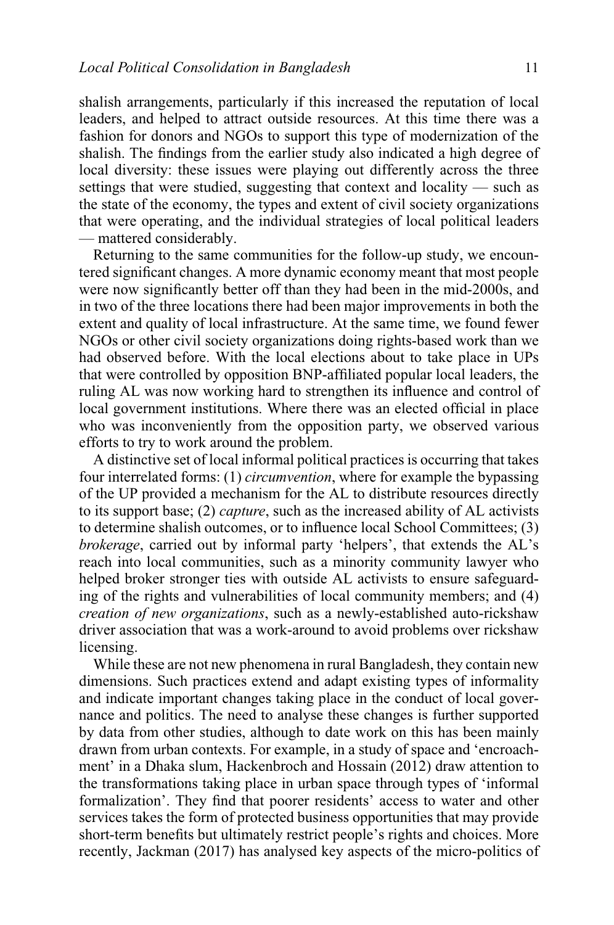shalish arrangements, particularly if this increased the reputation of local leaders, and helped to attract outside resources. At this time there was a fashion for donors and NGOs to support this type of modernization of the shalish. The findings from the earlier study also indicated a high degree of local diversity: these issues were playing out differently across the three settings that were studied, suggesting that context and locality — such as the state of the economy, the types and extent of civil society organizations that were operating, and the individual strategies of local political leaders — mattered considerably.

Returning to the same communities for the follow-up study, we encountered significant changes. A more dynamic economy meant that most people were now significantly better off than they had been in the mid-2000s, and in two of the three locations there had been major improvements in both the extent and quality of local infrastructure. At the same time, we found fewer NGOs or other civil society organizations doing rights-based work than we had observed before. With the local elections about to take place in UPs that were controlled by opposition BNP-affiliated popular local leaders, the ruling AL was now working hard to strengthen its influence and control of local government institutions. Where there was an elected official in place who was inconveniently from the opposition party, we observed various efforts to try to work around the problem.

A distinctive set of local informal political practices is occurring that takes four interrelated forms: (1) *circumvention*, where for example the bypassing of the UP provided a mechanism for the AL to distribute resources directly to its support base; (2) *capture*, such as the increased ability of AL activists to determine shalish outcomes, or to influence local School Committees; (3) *brokerage*, carried out by informal party 'helpers', that extends the AL's reach into local communities, such as a minority community lawyer who helped broker stronger ties with outside AL activists to ensure safeguarding of the rights and vulnerabilities of local community members; and (4) *creation of new organizations*, such as a newly-established auto-rickshaw driver association that was a work-around to avoid problems over rickshaw licensing.

While these are not new phenomena in rural Bangladesh, they contain new dimensions. Such practices extend and adapt existing types of informality and indicate important changes taking place in the conduct of local governance and politics. The need to analyse these changes is further supported by data from other studies, although to date work on this has been mainly drawn from urban contexts. For example, in a study of space and 'encroachment' in a Dhaka slum, Hackenbroch and Hossain (2012) draw attention to the transformations taking place in urban space through types of 'informal formalization'. They find that poorer residents' access to water and other services takes the form of protected business opportunities that may provide short-term benefits but ultimately restrict people's rights and choices. More recently, Jackman (2017) has analysed key aspects of the micro-politics of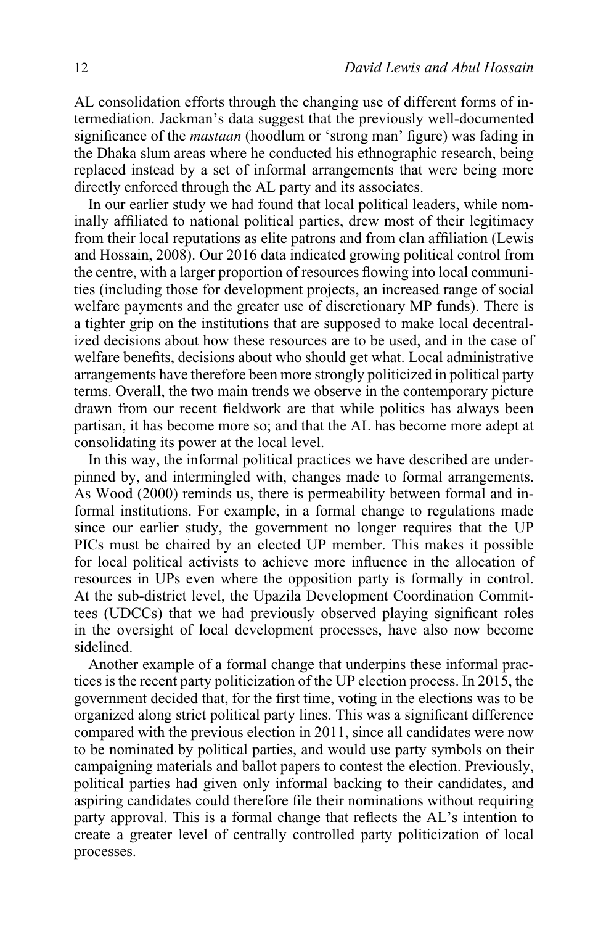AL consolidation efforts through the changing use of different forms of intermediation. Jackman's data suggest that the previously well-documented significance of the *mastaan* (hoodlum or 'strong man' figure) was fading in the Dhaka slum areas where he conducted his ethnographic research, being replaced instead by a set of informal arrangements that were being more directly enforced through the AL party and its associates.

In our earlier study we had found that local political leaders, while nominally affiliated to national political parties, drew most of their legitimacy from their local reputations as elite patrons and from clan affiliation (Lewis and Hossain, 2008). Our 2016 data indicated growing political control from the centre, with a larger proportion of resources flowing into local communities (including those for development projects, an increased range of social welfare payments and the greater use of discretionary MP funds). There is a tighter grip on the institutions that are supposed to make local decentralized decisions about how these resources are to be used, and in the case of welfare benefits, decisions about who should get what. Local administrative arrangements have therefore been more strongly politicized in political party terms. Overall, the two main trends we observe in the contemporary picture drawn from our recent fieldwork are that while politics has always been partisan, it has become more so; and that the AL has become more adept at consolidating its power at the local level.

In this way, the informal political practices we have described are underpinned by, and intermingled with, changes made to formal arrangements. As Wood (2000) reminds us, there is permeability between formal and informal institutions. For example, in a formal change to regulations made since our earlier study, the government no longer requires that the UP PICs must be chaired by an elected UP member. This makes it possible for local political activists to achieve more influence in the allocation of resources in UPs even where the opposition party is formally in control. At the sub-district level, the Upazila Development Coordination Committees (UDCCs) that we had previously observed playing significant roles in the oversight of local development processes, have also now become sidelined.

Another example of a formal change that underpins these informal practices is the recent party politicization of the UP election process. In 2015, the government decided that, for the first time, voting in the elections was to be organized along strict political party lines. This was a significant difference compared with the previous election in 2011, since all candidates were now to be nominated by political parties, and would use party symbols on their campaigning materials and ballot papers to contest the election. Previously, political parties had given only informal backing to their candidates, and aspiring candidates could therefore file their nominations without requiring party approval. This is a formal change that reflects the AL's intention to create a greater level of centrally controlled party politicization of local processes.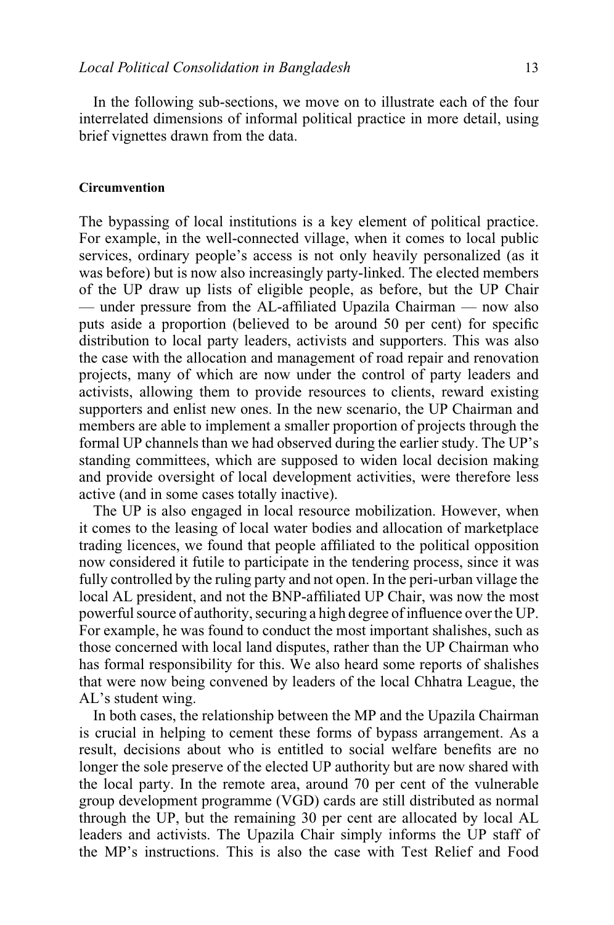In the following sub-sections, we move on to illustrate each of the four interrelated dimensions of informal political practice in more detail, using brief vignettes drawn from the data.

#### **Circumvention**

The bypassing of local institutions is a key element of political practice. For example, in the well-connected village, when it comes to local public services, ordinary people's access is not only heavily personalized (as it was before) but is now also increasingly party-linked. The elected members of the UP draw up lists of eligible people, as before, but the UP Chair — under pressure from the AL-affiliated Upazila Chairman — now also puts aside a proportion (believed to be around 50 per cent) for specific distribution to local party leaders, activists and supporters. This was also the case with the allocation and management of road repair and renovation projects, many of which are now under the control of party leaders and activists, allowing them to provide resources to clients, reward existing supporters and enlist new ones. In the new scenario, the UP Chairman and members are able to implement a smaller proportion of projects through the formal UP channels than we had observed during the earlier study. The UP's standing committees, which are supposed to widen local decision making and provide oversight of local development activities, were therefore less active (and in some cases totally inactive).

The UP is also engaged in local resource mobilization. However, when it comes to the leasing of local water bodies and allocation of marketplace trading licences, we found that people affiliated to the political opposition now considered it futile to participate in the tendering process, since it was fully controlled by the ruling party and not open. In the peri-urban village the local AL president, and not the BNP-affiliated UP Chair, was now the most powerful source of authority, securing a high degree of influence over the UP. For example, he was found to conduct the most important shalishes, such as those concerned with local land disputes, rather than the UP Chairman who has formal responsibility for this. We also heard some reports of shalishes that were now being convened by leaders of the local Chhatra League, the AL's student wing.

In both cases, the relationship between the MP and the Upazila Chairman is crucial in helping to cement these forms of bypass arrangement. As a result, decisions about who is entitled to social welfare benefits are no longer the sole preserve of the elected UP authority but are now shared with the local party. In the remote area, around 70 per cent of the vulnerable group development programme (VGD) cards are still distributed as normal through the UP, but the remaining 30 per cent are allocated by local AL leaders and activists. The Upazila Chair simply informs the UP staff of the MP's instructions. This is also the case with Test Relief and Food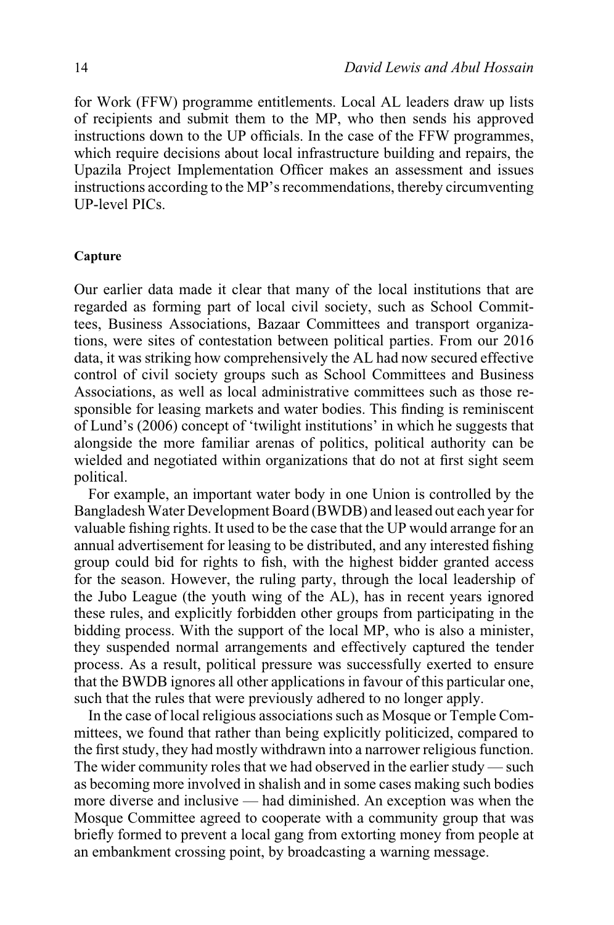for Work (FFW) programme entitlements. Local AL leaders draw up lists of recipients and submit them to the MP, who then sends his approved instructions down to the UP officials. In the case of the FFW programmes, which require decisions about local infrastructure building and repairs, the Upazila Project Implementation Officer makes an assessment and issues instructions according to the MP's recommendations, thereby circumventing UP-level PICs.

#### **Capture**

Our earlier data made it clear that many of the local institutions that are regarded as forming part of local civil society, such as School Committees, Business Associations, Bazaar Committees and transport organizations, were sites of contestation between political parties. From our 2016 data, it was striking how comprehensively the AL had now secured effective control of civil society groups such as School Committees and Business Associations, as well as local administrative committees such as those responsible for leasing markets and water bodies. This finding is reminiscent of Lund's (2006) concept of 'twilight institutions' in which he suggests that alongside the more familiar arenas of politics, political authority can be wielded and negotiated within organizations that do not at first sight seem political.

For example, an important water body in one Union is controlled by the Bangladesh Water Development Board (BWDB) and leased out each year for valuable fishing rights. It used to be the case that the UP would arrange for an annual advertisement for leasing to be distributed, and any interested fishing group could bid for rights to fish, with the highest bidder granted access for the season. However, the ruling party, through the local leadership of the Jubo League (the youth wing of the AL), has in recent years ignored these rules, and explicitly forbidden other groups from participating in the bidding process. With the support of the local MP, who is also a minister, they suspended normal arrangements and effectively captured the tender process. As a result, political pressure was successfully exerted to ensure that the BWDB ignores all other applications in favour of this particular one, such that the rules that were previously adhered to no longer apply.

In the case of local religious associations such as Mosque or Temple Committees, we found that rather than being explicitly politicized, compared to the first study, they had mostly withdrawn into a narrower religious function. The wider community roles that we had observed in the earlier study — such as becoming more involved in shalish and in some cases making such bodies more diverse and inclusive — had diminished. An exception was when the Mosque Committee agreed to cooperate with a community group that was briefly formed to prevent a local gang from extorting money from people at an embankment crossing point, by broadcasting a warning message.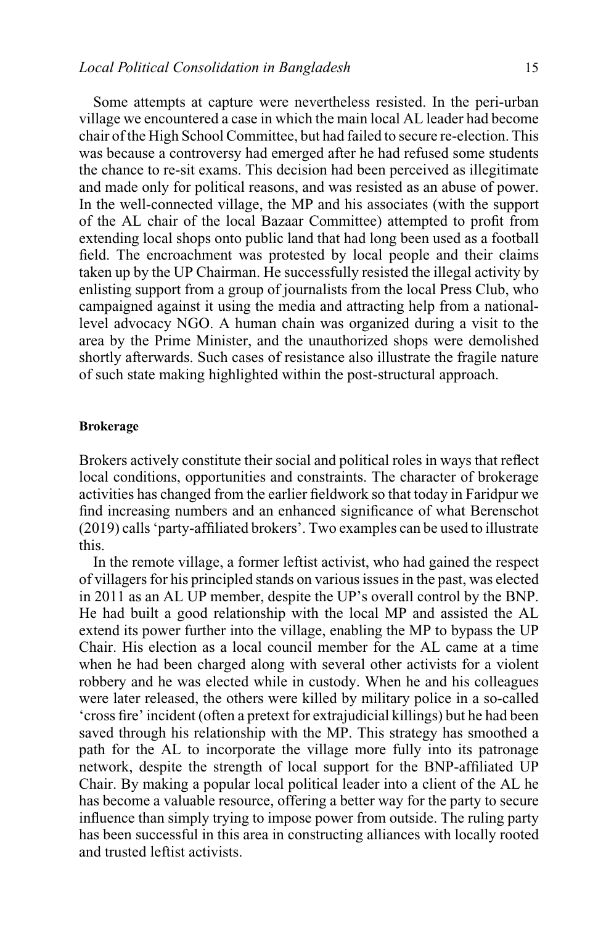Some attempts at capture were nevertheless resisted. In the peri-urban village we encountered a case in which the main local AL leader had become chair of the High School Committee, but had failed to secure re-election. This was because a controversy had emerged after he had refused some students the chance to re-sit exams. This decision had been perceived as illegitimate and made only for political reasons, and was resisted as an abuse of power. In the well-connected village, the MP and his associates (with the support of the AL chair of the local Bazaar Committee) attempted to profit from extending local shops onto public land that had long been used as a football field. The encroachment was protested by local people and their claims taken up by the UP Chairman. He successfully resisted the illegal activity by enlisting support from a group of journalists from the local Press Club, who campaigned against it using the media and attracting help from a nationallevel advocacy NGO. A human chain was organized during a visit to the area by the Prime Minister, and the unauthorized shops were demolished shortly afterwards. Such cases of resistance also illustrate the fragile nature of such state making highlighted within the post-structural approach.

#### **Brokerage**

Brokers actively constitute their social and political roles in ways that reflect local conditions, opportunities and constraints. The character of brokerage activities has changed from the earlier fieldwork so that today in Faridpur we find increasing numbers and an enhanced significance of what Berenschot (2019) calls 'party-affiliated brokers'. Two examples can be used to illustrate this.

In the remote village, a former leftist activist, who had gained the respect of villagers for his principled stands on various issues in the past, was elected in 2011 as an AL UP member, despite the UP's overall control by the BNP. He had built a good relationship with the local MP and assisted the AL extend its power further into the village, enabling the MP to bypass the UP Chair. His election as a local council member for the AL came at a time when he had been charged along with several other activists for a violent robbery and he was elected while in custody. When he and his colleagues were later released, the others were killed by military police in a so-called 'cross fire' incident (often a pretext for extrajudicial killings) but he had been saved through his relationship with the MP. This strategy has smoothed a path for the AL to incorporate the village more fully into its patronage network, despite the strength of local support for the BNP-affiliated UP Chair. By making a popular local political leader into a client of the AL he has become a valuable resource, offering a better way for the party to secure influence than simply trying to impose power from outside. The ruling party has been successful in this area in constructing alliances with locally rooted and trusted leftist activists.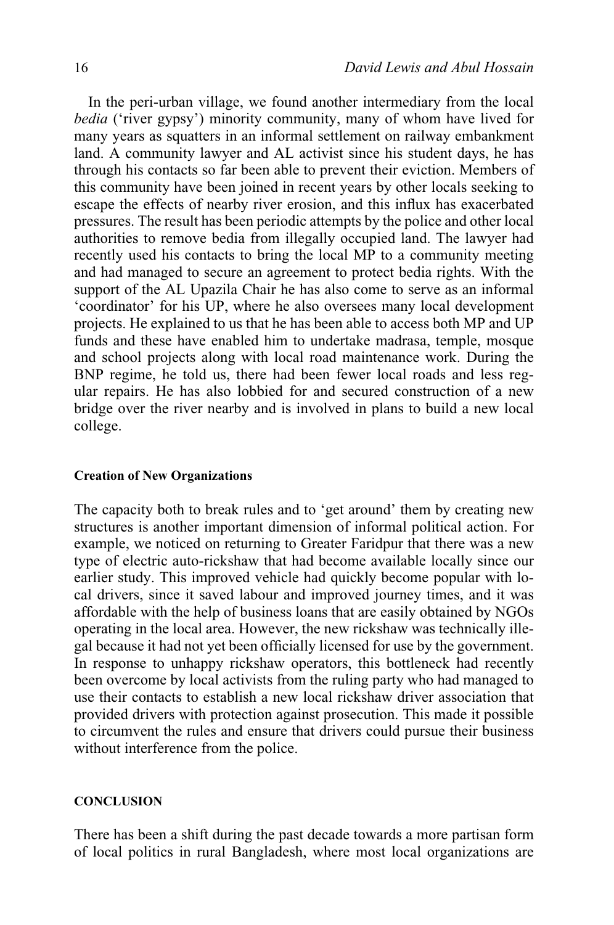In the peri-urban village, we found another intermediary from the local *bedia* ('river gypsy') minority community, many of whom have lived for many years as squatters in an informal settlement on railway embankment land. A community lawyer and AL activist since his student days, he has through his contacts so far been able to prevent their eviction. Members of this community have been joined in recent years by other locals seeking to escape the effects of nearby river erosion, and this influx has exacerbated pressures. The result has been periodic attempts by the police and other local authorities to remove bedia from illegally occupied land. The lawyer had recently used his contacts to bring the local MP to a community meeting and had managed to secure an agreement to protect bedia rights. With the support of the AL Upazila Chair he has also come to serve as an informal 'coordinator' for his UP, where he also oversees many local development projects. He explained to us that he has been able to access both MP and UP funds and these have enabled him to undertake madrasa, temple, mosque and school projects along with local road maintenance work. During the BNP regime, he told us, there had been fewer local roads and less regular repairs. He has also lobbied for and secured construction of a new bridge over the river nearby and is involved in plans to build a new local college.

# **Creation of New Organizations**

The capacity both to break rules and to 'get around' them by creating new structures is another important dimension of informal political action. For example, we noticed on returning to Greater Faridpur that there was a new type of electric auto-rickshaw that had become available locally since our earlier study. This improved vehicle had quickly become popular with local drivers, since it saved labour and improved journey times, and it was affordable with the help of business loans that are easily obtained by NGOs operating in the local area. However, the new rickshaw was technically illegal because it had not yet been officially licensed for use by the government. In response to unhappy rickshaw operators, this bottleneck had recently been overcome by local activists from the ruling party who had managed to use their contacts to establish a new local rickshaw driver association that provided drivers with protection against prosecution. This made it possible to circumvent the rules and ensure that drivers could pursue their business without interference from the police.

#### **CONCLUSION**

There has been a shift during the past decade towards a more partisan form of local politics in rural Bangladesh, where most local organizations are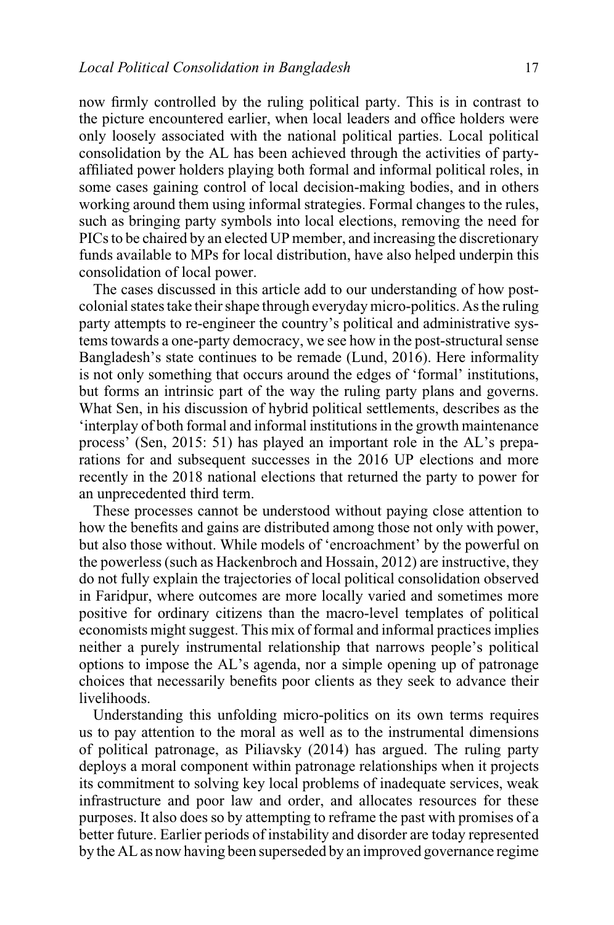now firmly controlled by the ruling political party. This is in contrast to the picture encountered earlier, when local leaders and office holders were only loosely associated with the national political parties. Local political consolidation by the AL has been achieved through the activities of partyaffiliated power holders playing both formal and informal political roles, in some cases gaining control of local decision-making bodies, and in others working around them using informal strategies. Formal changes to the rules, such as bringing party symbols into local elections, removing the need for PICs to be chaired by an elected UP member, and increasing the discretionary funds available to MPs for local distribution, have also helped underpin this consolidation of local power.

The cases discussed in this article add to our understanding of how postcolonial states take their shape through everyday micro-politics. As the ruling party attempts to re-engineer the country's political and administrative systems towards a one-party democracy, we see how in the post-structural sense Bangladesh's state continues to be remade (Lund, 2016). Here informality is not only something that occurs around the edges of 'formal' institutions, but forms an intrinsic part of the way the ruling party plans and governs. What Sen, in his discussion of hybrid political settlements, describes as the 'interplay of both formal and informal institutions in the growth maintenance process' (Sen, 2015: 51) has played an important role in the AL's preparations for and subsequent successes in the 2016 UP elections and more recently in the 2018 national elections that returned the party to power for an unprecedented third term.

These processes cannot be understood without paying close attention to how the benefits and gains are distributed among those not only with power, but also those without. While models of 'encroachment' by the powerful on the powerless (such as Hackenbroch and Hossain, 2012) are instructive, they do not fully explain the trajectories of local political consolidation observed in Faridpur, where outcomes are more locally varied and sometimes more positive for ordinary citizens than the macro-level templates of political economists might suggest. This mix of formal and informal practices implies neither a purely instrumental relationship that narrows people's political options to impose the AL's agenda, nor a simple opening up of patronage choices that necessarily benefits poor clients as they seek to advance their livelihoods.

Understanding this unfolding micro-politics on its own terms requires us to pay attention to the moral as well as to the instrumental dimensions of political patronage, as Piliavsky (2014) has argued. The ruling party deploys a moral component within patronage relationships when it projects its commitment to solving key local problems of inadequate services, weak infrastructure and poor law and order, and allocates resources for these purposes. It also does so by attempting to reframe the past with promises of a better future. Earlier periods of instability and disorder are today represented by the AL as now having been superseded by an improved governance regime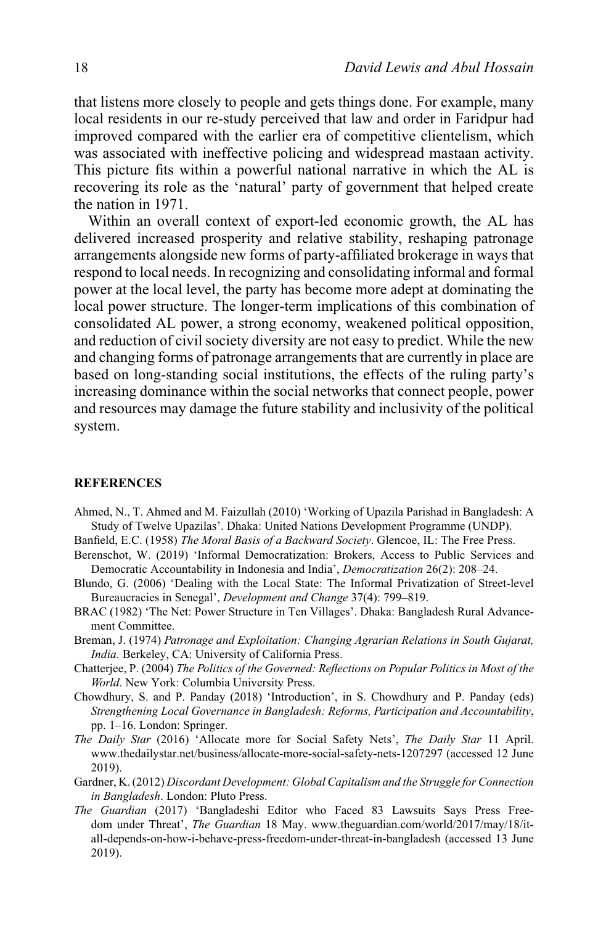that listens more closely to people and gets things done. For example, many local residents in our re-study perceived that law and order in Faridpur had improved compared with the earlier era of competitive clientelism, which was associated with ineffective policing and widespread mastaan activity. This picture fits within a powerful national narrative in which the AL is recovering its role as the 'natural' party of government that helped create the nation in 1971.

Within an overall context of export-led economic growth, the AL has delivered increased prosperity and relative stability, reshaping patronage arrangements alongside new forms of party-affiliated brokerage in ways that respond to local needs. In recognizing and consolidating informal and formal power at the local level, the party has become more adept at dominating the local power structure. The longer-term implications of this combination of consolidated AL power, a strong economy, weakened political opposition, and reduction of civil society diversity are not easy to predict. While the new and changing forms of patronage arrangements that are currently in place are based on long-standing social institutions, the effects of the ruling party's increasing dominance within the social networks that connect people, power and resources may damage the future stability and inclusivity of the political system.

#### **REFERENCES**

Ahmed, N., T. Ahmed and M. Faizullah (2010) 'Working of Upazila Parishad in Bangladesh: A Study of Twelve Upazilas'. Dhaka: United Nations Development Programme (UNDP).

Banfield, E.C. (1958) *The Moral Basis of a Backward Society*. Glencoe, IL: The Free Press.

- Berenschot, W. (2019) 'Informal Democratization: Brokers, Access to Public Services and Democratic Accountability in Indonesia and India', *Democratization* 26(2): 208–24.
- Blundo, G. (2006) 'Dealing with the Local State: The Informal Privatization of Street-level Bureaucracies in Senegal', *Development and Change* 37(4): 799–819.
- BRAC (1982) 'The Net: Power Structure in Ten Villages'. Dhaka: Bangladesh Rural Advancement Committee.
- Breman, J. (1974) *Patronage and Exploitation: Changing Agrarian Relations in South Gujarat, India*. Berkeley, CA: University of California Press.
- Chatterjee, P. (2004) *The Politics of the Governed: Reflections on Popular Politics in Most of the World*. New York: Columbia University Press.
- Chowdhury, S. and P. Panday (2018) 'Introduction', in S. Chowdhury and P. Panday (eds) *Strengthening Local Governance in Bangladesh: Reforms, Participation and Accountability*, pp. 1–16. London: Springer.
- *The Daily Star* (2016) 'Allocate more for Social Safety Nets', *The Daily Star* 11 April. [www.thedailystar.net/business/allocate-more-social-safety-nets-1207297](http://www.thedailystar.net/business/allocate-more-social-safety-nets-1207297) (accessed 12 June 2019).
- Gardner, K. (2012) *Discordant Development: Global Capitalism and the Struggle for Connection in Bangladesh*. London: Pluto Press.
- *The Guardian* (2017) 'Bangladeshi Editor who Faced 83 Lawsuits Says Press Freedom under Threat', *The Guardian* 18 May. [www.theguardian.com/world/2017/may/18/it](http://www.theguardian.com/world/2017/may/18/it-all-depends-on-how-i-behave-press-freedom-under-threat-in-bangladesh)[all-depends-on-how-i-behave-press-freedom-under-threat-in-bangladesh](http://www.theguardian.com/world/2017/may/18/it-all-depends-on-how-i-behave-press-freedom-under-threat-in-bangladesh) (accessed 13 June 2019).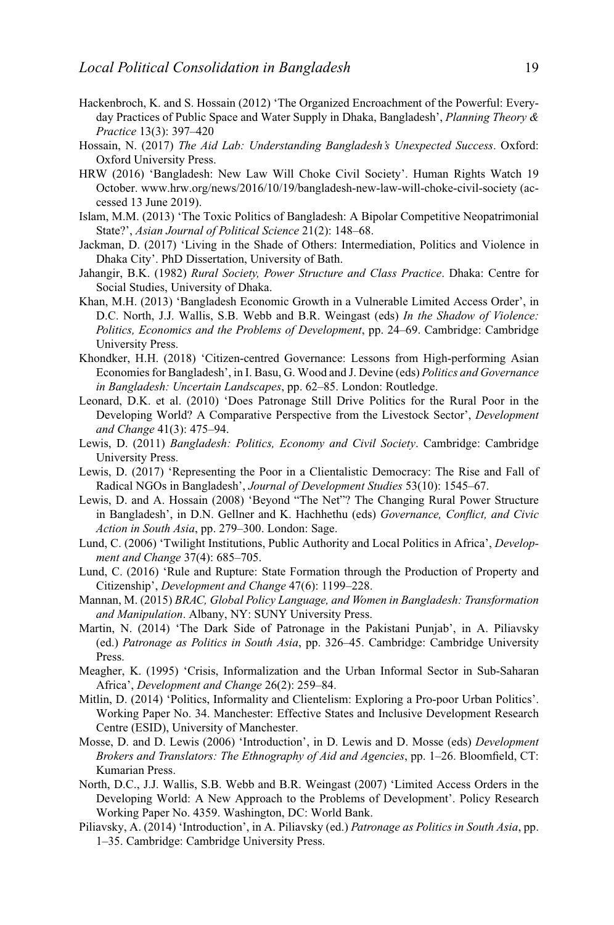- Hackenbroch, K. and S. Hossain (2012) 'The Organized Encroachment of the Powerful: Everyday Practices of Public Space and Water Supply in Dhaka, Bangladesh', *Planning Theory & Practice* 13(3): 397–420
- Hossain, N. (2017) *The Aid Lab: Understanding Bangladesh's Unexpected Success*. Oxford: Oxford University Press.
- HRW (2016) 'Bangladesh: New Law Will Choke Civil Society'. Human Rights Watch 19 October. [www.hrw.org/news/2016/10/19/bangladesh-new-law-will-choke-civil-society](http://www.hrw.org/news/2016/10/19/bangladesh-new-law-will-choke-civil-society) (accessed 13 June 2019).
- Islam, M.M. (2013) 'The Toxic Politics of Bangladesh: A Bipolar Competitive Neopatrimonial State?', *Asian Journal of Political Science* 21(2): 148–68.
- Jackman, D. (2017) 'Living in the Shade of Others: Intermediation, Politics and Violence in Dhaka City'. PhD Dissertation, University of Bath.
- Jahangir, B.K. (1982) *Rural Society, Power Structure and Class Practice*. Dhaka: Centre for Social Studies, University of Dhaka.
- Khan, M.H. (2013) 'Bangladesh Economic Growth in a Vulnerable Limited Access Order', in D.C. North, J.J. Wallis, S.B. Webb and B.R. Weingast (eds) *In the Shadow of Violence: Politics, Economics and the Problems of Development*, pp. 24–69. Cambridge: Cambridge University Press.
- Khondker, H.H. (2018) 'Citizen-centred Governance: Lessons from High-performing Asian Economies for Bangladesh', in I. Basu, G. Wood and J. Devine (eds) *Politics and Governance in Bangladesh: Uncertain Landscapes*, pp. 62–85. London: Routledge.
- Leonard, D.K. et al. (2010) 'Does Patronage Still Drive Politics for the Rural Poor in the Developing World? A Comparative Perspective from the Livestock Sector', *Development and Change* 41(3): 475–94.
- Lewis, D. (2011) *Bangladesh: Politics, Economy and Civil Society*. Cambridge: Cambridge University Press.
- Lewis, D. (2017) 'Representing the Poor in a Clientalistic Democracy: The Rise and Fall of Radical NGOs in Bangladesh', *Journal of Development Studies* 53(10): 1545–67.
- Lewis, D. and A. Hossain (2008) 'Beyond "The Net"? The Changing Rural Power Structure in Bangladesh', in D.N. Gellner and K. Hachhethu (eds) *Governance, Conflict, and Civic Action in South Asia*, pp. 279–300. London: Sage.
- Lund, C. (2006) 'Twilight Institutions, Public Authority and Local Politics in Africa', *Development and Change* 37(4): 685–705.
- Lund, C. (2016) 'Rule and Rupture: State Formation through the Production of Property and Citizenship', *Development and Change* 47(6): 1199–228.
- Mannan, M. (2015) *BRAC, Global Policy Language, and Women in Bangladesh: Transformation and Manipulation*. Albany, NY: SUNY University Press.
- Martin, N. (2014) 'The Dark Side of Patronage in the Pakistani Punjab', in A. Piliavsky (ed.) *Patronage as Politics in South Asia*, pp. 326–45. Cambridge: Cambridge University Press.
- Meagher, K. (1995) 'Crisis, Informalization and the Urban Informal Sector in Sub-Saharan Africa', *Development and Change* 26(2): 259–84.
- Mitlin, D. (2014) 'Politics, Informality and Clientelism: Exploring a Pro-poor Urban Politics'. Working Paper No. 34. Manchester: Effective States and Inclusive Development Research Centre (ESID), University of Manchester.
- Mosse, D. and D. Lewis (2006) 'Introduction', in D. Lewis and D. Mosse (eds) *Development Brokers and Translators: The Ethnography of Aid and Agencies*, pp. 1–26. Bloomfield, CT: Kumarian Press.
- North, D.C., J.J. Wallis, S.B. Webb and B.R. Weingast (2007) 'Limited Access Orders in the Developing World: A New Approach to the Problems of Development'. Policy Research Working Paper No. 4359. Washington, DC: World Bank.
- Piliavsky, A. (2014) 'Introduction', in A. Piliavsky (ed.) *Patronage as Politics in South Asia*, pp. 1–35. Cambridge: Cambridge University Press.